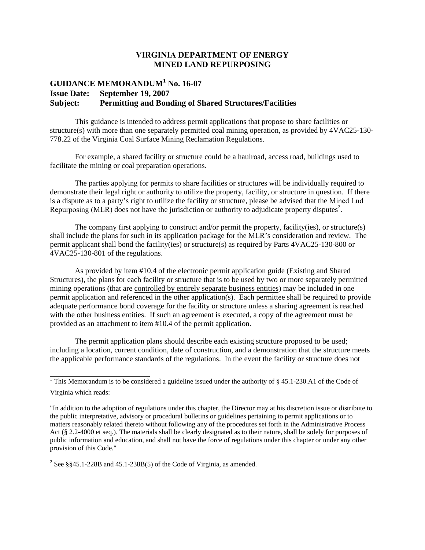## **VIRGINIA DEPARTMENT OF ENERGY MINED LAND REPURPOSING**

## **GUIDANCE MEMORANDUM<sup>1</sup> No. 16-07 Issue Date: September 19, 2007 Subject: Permitting and Bonding of Shared Structures/Facilities**

This guidance is intended to address permit applications that propose to share facilities or structure(s) with more than one separately permitted coal mining operation, as provided by 4VAC25-130- 778.22 of the Virginia Coal Surface Mining Reclamation Regulations.

For example, a shared facility or structure could be a haulroad, access road, buildings used to facilitate the mining or coal preparation operations.

The parties applying for permits to share facilities or structures will be individually required to demonstrate their legal right or authority to utilize the property, facility, or structure in question. If there is a dispute as to a party's right to utilize the facility or structure, please be advised that the Mined Lnd Repurposing (MLR) does not have the jurisdiction or authority to adjudicate property disputes<sup>2</sup>.

The company first applying to construct and/or permit the property, facility(ies), or structure(s) shall include the plans for such in its application package for the MLR's consideration and review. The permit applicant shall bond the facility(ies) or structure(s) as required by Parts 4VAC25-130-800 or 4VAC25-130-801 of the regulations.

As provided by item #10.4 of the electronic permit application guide (Existing and Shared Structures), the plans for each facility or structure that is to be used by two or more separately permitted mining operations (that are controlled by entirely separate business entities) may be included in one permit application and referenced in the other application(s). Each permittee shall be required to provide adequate performance bond coverage for the facility or structure unless a sharing agreement is reached with the other business entities. If such an agreement is executed, a copy of the agreement must be provided as an attachment to item #10.4 of the permit application.

The permit application plans should describe each existing structure proposed to be used; including a location, current condition, date of construction, and a demonstration that the structure meets the applicable performance standards of the regulations. In the event the facility or structure does not

<sup>&</sup>lt;sup>1</sup> This Memorandum is to be considered a guideline issued under the authority of  $\S$  45.1-230.A1 of the Code of Virginia which reads:

<sup>&</sup>quot;In addition to the adoption of regulations under this chapter, the Director may at his discretion issue or distribute to the public interpretative, advisory or procedural bulletins or guidelines pertaining to permit applications or to matters reasonably related thereto without following any of the procedures set forth in the Administrative Process Act (§ 2.2-4000 et seq.). The materials shall be clearly designated as to their nature, shall be solely for purposes of public information and education, and shall not have the force of regulations under this chapter or under any other provision of this Code."

<sup>&</sup>lt;sup>2</sup> See §§45.1-228B and 45.1-238B(5) of the Code of Virginia, as amended.